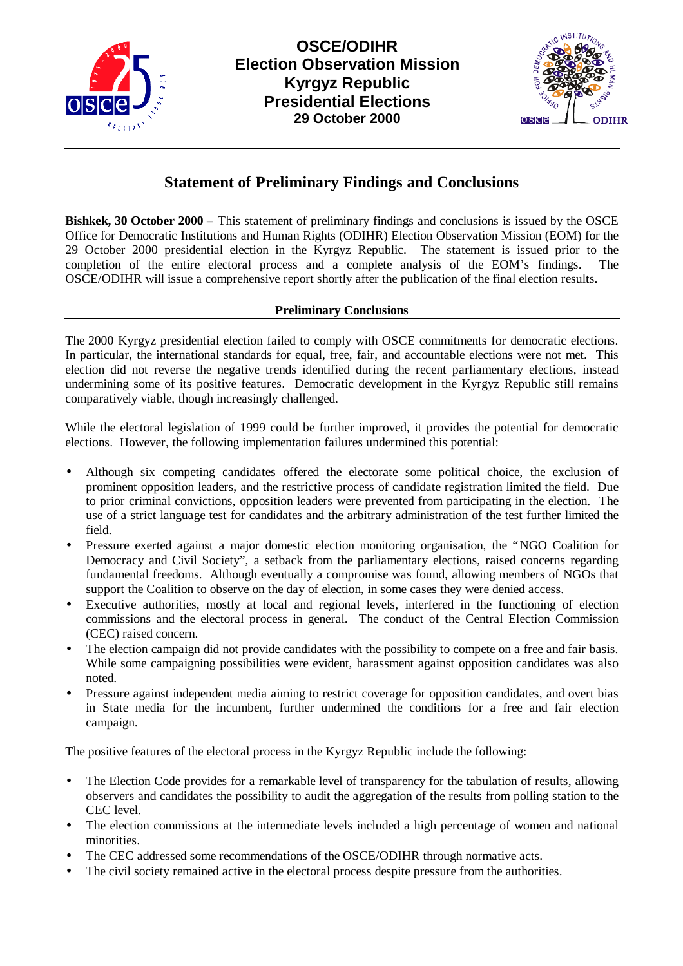



# **Statement of Preliminary Findings and Conclusions**

**Bishkek, 30 October 2000 – This statement of preliminary findings and conclusions is issued by the OSCE** Office for Democratic Institutions and Human Rights (ODIHR) Election Observation Mission (EOM) for the 29 October 2000 presidential election in the Kyrgyz Republic. The statement is issued prior to the completion of the entire electoral process and a complete analysis of the EOM's findings. The OSCE/ODIHR will issue a comprehensive report shortly after the publication of the final election results.

## **Preliminary Conclusions**

The 2000 Kyrgyz presidential election failed to comply with OSCE commitments for democratic elections. In particular, the international standards for equal, free, fair, and accountable elections were not met. This election did not reverse the negative trends identified during the recent parliamentary elections, instead undermining some of its positive features. Democratic development in the Kyrgyz Republic still remains comparatively viable, though increasingly challenged.

While the electoral legislation of 1999 could be further improved, it provides the potential for democratic elections. However, the following implementation failures undermined this potential:

- Although six competing candidates offered the electorate some political choice, the exclusion of prominent opposition leaders, and the restrictive process of candidate registration limited the field. Due to prior criminal convictions, opposition leaders were prevented from participating in the election. The use of a strict language test for candidates and the arbitrary administration of the test further limited the field.
- Pressure exerted against a major domestic election monitoring organisation, the "NGO Coalition for Democracy and Civil Society", a setback from the parliamentary elections, raised concerns regarding fundamental freedoms. Although eventually a compromise was found, allowing members of NGOs that support the Coalition to observe on the day of election, in some cases they were denied access.
- Executive authorities, mostly at local and regional levels, interfered in the functioning of election commissions and the electoral process in general. The conduct of the Central Election Commission (CEC) raised concern.
- The election campaign did not provide candidates with the possibility to compete on a free and fair basis. While some campaigning possibilities were evident, harassment against opposition candidates was also noted.
- Pressure against independent media aiming to restrict coverage for opposition candidates, and overt bias in State media for the incumbent, further undermined the conditions for a free and fair election campaign.

The positive features of the electoral process in the Kyrgyz Republic include the following:

- The Election Code provides for a remarkable level of transparency for the tabulation of results, allowing observers and candidates the possibility to audit the aggregation of the results from polling station to the CEC level.
- The election commissions at the intermediate levels included a high percentage of women and national minorities.
- The CEC addressed some recommendations of the OSCE/ODIHR through normative acts.
- The civil society remained active in the electoral process despite pressure from the authorities.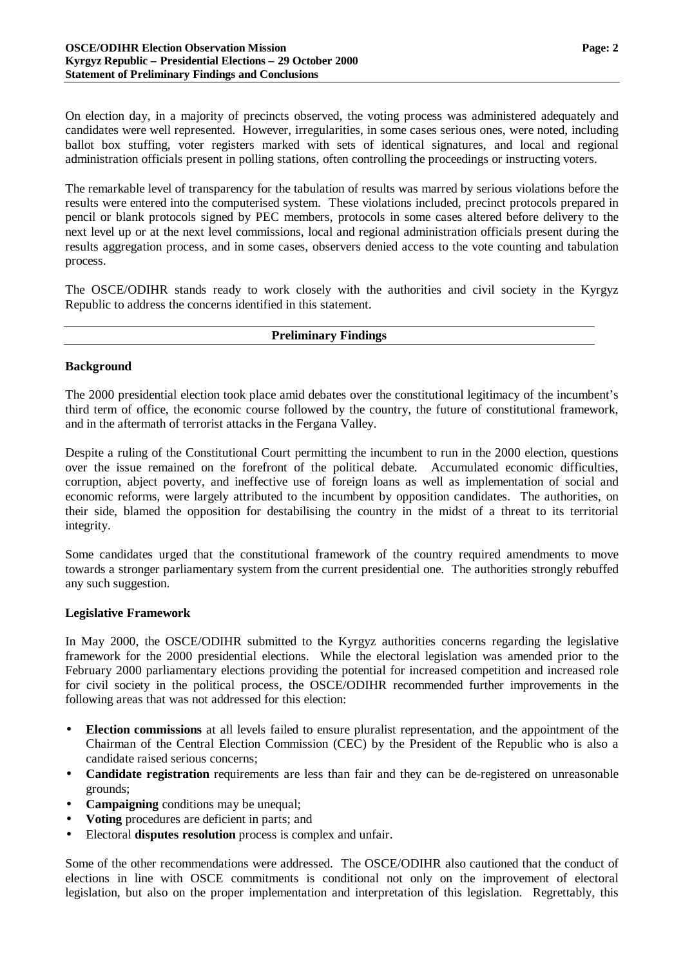On election day, in a majority of precincts observed, the voting process was administered adequately and candidates were well represented. However, irregularities, in some cases serious ones, were noted, including ballot box stuffing, voter registers marked with sets of identical signatures, and local and regional administration officials present in polling stations, often controlling the proceedings or instructing voters.

The remarkable level of transparency for the tabulation of results was marred by serious violations before the results were entered into the computerised system. These violations included, precinct protocols prepared in pencil or blank protocols signed by PEC members, protocols in some cases altered before delivery to the next level up or at the next level commissions, local and regional administration officials present during the results aggregation process, and in some cases, observers denied access to the vote counting and tabulation process.

The OSCE/ODIHR stands ready to work closely with the authorities and civil society in the Kyrgyz Republic to address the concerns identified in this statement.

#### **Preliminary Findings**

## **Background**

The 2000 presidential election took place amid debates over the constitutional legitimacy of the incumbent's third term of office, the economic course followed by the country, the future of constitutional framework, and in the aftermath of terrorist attacks in the Fergana Valley.

Despite a ruling of the Constitutional Court permitting the incumbent to run in the 2000 election, questions over the issue remained on the forefront of the political debate. Accumulated economic difficulties, corruption, abject poverty, and ineffective use of foreign loans as well as implementation of social and economic reforms, were largely attributed to the incumbent by opposition candidates. The authorities, on their side, blamed the opposition for destabilising the country in the midst of a threat to its territorial integrity.

Some candidates urged that the constitutional framework of the country required amendments to move towards a stronger parliamentary system from the current presidential one. The authorities strongly rebuffed any such suggestion.

## **Legislative Framework**

In May 2000, the OSCE/ODIHR submitted to the Kyrgyz authorities concerns regarding the legislative framework for the 2000 presidential elections. While the electoral legislation was amended prior to the February 2000 parliamentary elections providing the potential for increased competition and increased role for civil society in the political process, the OSCE/ODIHR recommended further improvements in the following areas that was not addressed for this election:

- **Election commissions** at all levels failed to ensure pluralist representation, and the appointment of the Chairman of the Central Election Commission (CEC) by the President of the Republic who is also a candidate raised serious concerns;
- **Candidate registration** requirements are less than fair and they can be de-registered on unreasonable grounds;
- **Campaigning** conditions may be unequal;
- **Voting** procedures are deficient in parts; and
- Electoral **disputes resolution** process is complex and unfair.

Some of the other recommendations were addressed. The OSCE/ODIHR also cautioned that the conduct of elections in line with OSCE commitments is conditional not only on the improvement of electoral legislation, but also on the proper implementation and interpretation of this legislation. Regrettably, this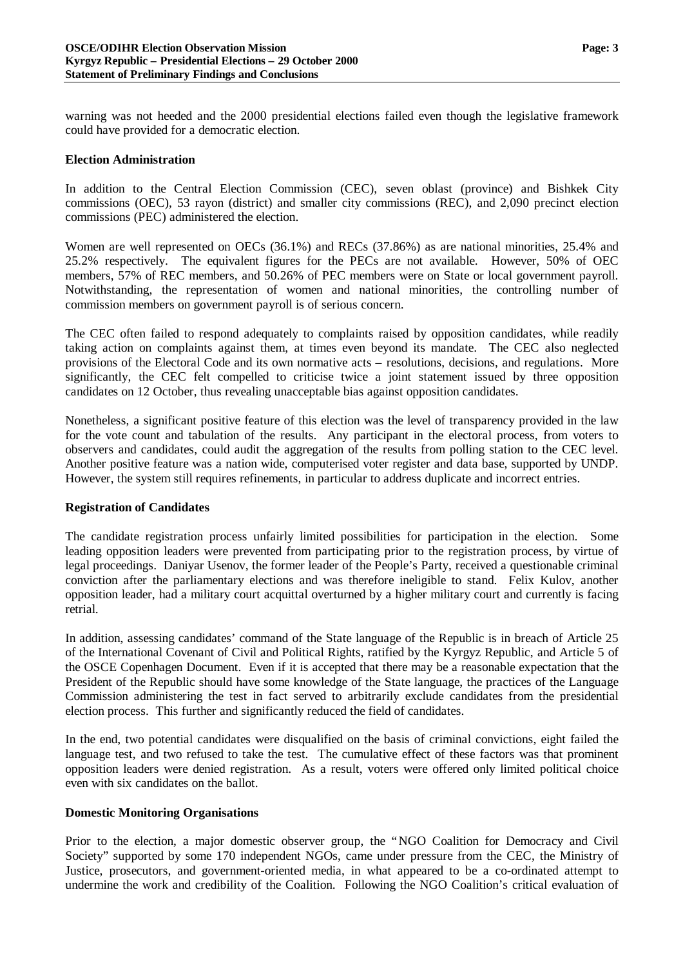warning was not heeded and the 2000 presidential elections failed even though the legislative framework could have provided for a democratic election.

#### **Election Administration**

In addition to the Central Election Commission (CEC), seven oblast (province) and Bishkek City commissions (OEC), 53 rayon (district) and smaller city commissions (REC), and 2,090 precinct election commissions (PEC) administered the election.

Women are well represented on OECs (36.1%) and RECs (37.86%) as are national minorities, 25.4% and 25.2% respectively. The equivalent figures for the PECs are not available. However, 50% of OEC members, 57% of REC members, and 50.26% of PEC members were on State or local government payroll. Notwithstanding, the representation of women and national minorities, the controlling number of commission members on government payroll is of serious concern.

The CEC often failed to respond adequately to complaints raised by opposition candidates, while readily taking action on complaints against them, at times even beyond its mandate. The CEC also neglected provisions of the Electoral Code and its own normative acts – resolutions, decisions, and regulations. More significantly, the CEC felt compelled to criticise twice a joint statement issued by three opposition candidates on 12 October, thus revealing unacceptable bias against opposition candidates.

Nonetheless, a significant positive feature of this election was the level of transparency provided in the law for the vote count and tabulation of the results. Any participant in the electoral process, from voters to observers and candidates, could audit the aggregation of the results from polling station to the CEC level. Another positive feature was a nation wide, computerised voter register and data base, supported by UNDP. However, the system still requires refinements, in particular to address duplicate and incorrect entries.

## **Registration of Candidates**

The candidate registration process unfairly limited possibilities for participation in the election. Some leading opposition leaders were prevented from participating prior to the registration process, by virtue of legal proceedings. Daniyar Usenov, the former leader of the People's Party, received a questionable criminal conviction after the parliamentary elections and was therefore ineligible to stand. Felix Kulov, another opposition leader, had a military court acquittal overturned by a higher military court and currently is facing retrial.

In addition, assessing candidates' command of the State language of the Republic is in breach of Article 25 of the International Covenant of Civil and Political Rights, ratified by the Kyrgyz Republic, and Article 5 of the OSCE Copenhagen Document. Even if it is accepted that there may be a reasonable expectation that the President of the Republic should have some knowledge of the State language, the practices of the Language Commission administering the test in fact served to arbitrarily exclude candidates from the presidential election process. This further and significantly reduced the field of candidates.

In the end, two potential candidates were disqualified on the basis of criminal convictions, eight failed the language test, and two refused to take the test. The cumulative effect of these factors was that prominent opposition leaders were denied registration. As a result, voters were offered only limited political choice even with six candidates on the ballot.

## **Domestic Monitoring Organisations**

Prior to the election, a major domestic observer group, the "NGO Coalition for Democracy and Civil Society" supported by some 170 independent NGOs, came under pressure from the CEC, the Ministry of Justice, prosecutors, and government-oriented media, in what appeared to be a co-ordinated attempt to undermine the work and credibility of the Coalition. Following the NGO Coalition's critical evaluation of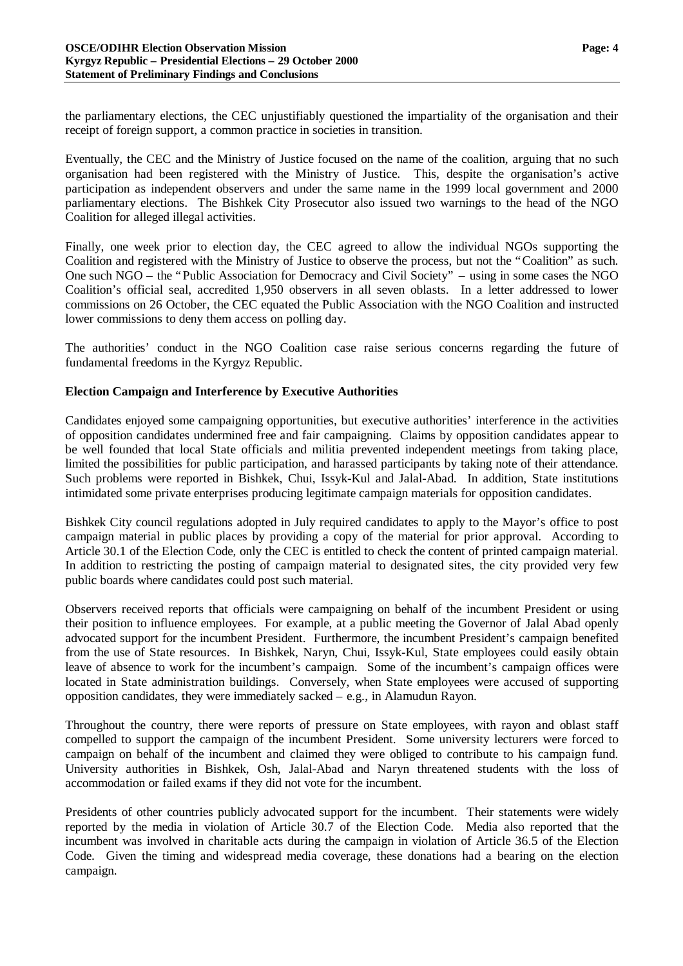the parliamentary elections, the CEC unjustifiably questioned the impartiality of the organisation and their receipt of foreign support, a common practice in societies in transition.

Eventually, the CEC and the Ministry of Justice focused on the name of the coalition, arguing that no such organisation had been registered with the Ministry of Justice. This, despite the organisation's active participation as independent observers and under the same name in the 1999 local government and 2000 parliamentary elections. The Bishkek City Prosecutor also issued two warnings to the head of the NGO Coalition for alleged illegal activities.

Finally, one week prior to election day, the CEC agreed to allow the individual NGOs supporting the Coalition and registered with the Ministry of Justice to observe the process, but not the "Coalition" as such. One such NGO – the "Public Association for Democracy and Civil Society" – using in some cases the NGO Coalition's official seal, accredited 1,950 observers in all seven oblasts. In a letter addressed to lower commissions on 26 October, the CEC equated the Public Association with the NGO Coalition and instructed lower commissions to deny them access on polling day.

The authorities' conduct in the NGO Coalition case raise serious concerns regarding the future of fundamental freedoms in the Kyrgyz Republic.

## **Election Campaign and Interference by Executive Authorities**

Candidates enjoyed some campaigning opportunities, but executive authorities' interference in the activities of opposition candidates undermined free and fair campaigning. Claims by opposition candidates appear to be well founded that local State officials and militia prevented independent meetings from taking place, limited the possibilities for public participation, and harassed participants by taking note of their attendance. Such problems were reported in Bishkek, Chui, Issyk-Kul and Jalal-Abad. In addition, State institutions intimidated some private enterprises producing legitimate campaign materials for opposition candidates.

Bishkek City council regulations adopted in July required candidates to apply to the Mayor's office to post campaign material in public places by providing a copy of the material for prior approval. According to Article 30.1 of the Election Code, only the CEC is entitled to check the content of printed campaign material. In addition to restricting the posting of campaign material to designated sites, the city provided very few public boards where candidates could post such material.

Observers received reports that officials were campaigning on behalf of the incumbent President or using their position to influence employees. For example, at a public meeting the Governor of Jalal Abad openly advocated support for the incumbent President. Furthermore, the incumbent President's campaign benefited from the use of State resources. In Bishkek, Naryn, Chui, Issyk-Kul, State employees could easily obtain leave of absence to work for the incumbent's campaign. Some of the incumbent's campaign offices were located in State administration buildings. Conversely, when State employees were accused of supporting opposition candidates, they were immediately sacked – e.g., in Alamudun Rayon.

Throughout the country, there were reports of pressure on State employees, with rayon and oblast staff compelled to support the campaign of the incumbent President. Some university lecturers were forced to campaign on behalf of the incumbent and claimed they were obliged to contribute to his campaign fund. University authorities in Bishkek, Osh, Jalal-Abad and Naryn threatened students with the loss of accommodation or failed exams if they did not vote for the incumbent.

Presidents of other countries publicly advocated support for the incumbent. Their statements were widely reported by the media in violation of Article 30.7 of the Election Code. Media also reported that the incumbent was involved in charitable acts during the campaign in violation of Article 36.5 of the Election Code. Given the timing and widespread media coverage, these donations had a bearing on the election campaign.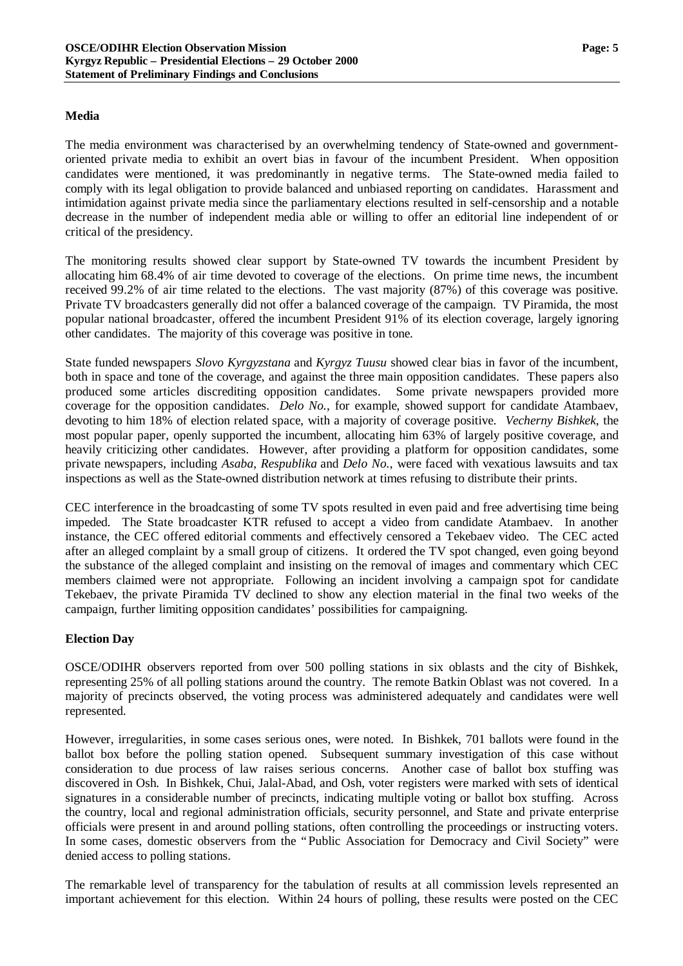#### **Media**

The media environment was characterised by an overwhelming tendency of State-owned and governmentoriented private media to exhibit an overt bias in favour of the incumbent President. When opposition candidates were mentioned, it was predominantly in negative terms. The State-owned media failed to comply with its legal obligation to provide balanced and unbiased reporting on candidates. Harassment and intimidation against private media since the parliamentary elections resulted in self-censorship and a notable decrease in the number of independent media able or willing to offer an editorial line independent of or critical of the presidency.

The monitoring results showed clear support by State-owned TV towards the incumbent President by allocating him 68.4% of air time devoted to coverage of the elections. On prime time news, the incumbent received 99.2% of air time related to the elections. The vast majority (87%) of this coverage was positive. Private TV broadcasters generally did not offer a balanced coverage of the campaign. TV Piramida, the most popular national broadcaster, offered the incumbent President 91% of its election coverage, largely ignoring other candidates. The majority of this coverage was positive in tone.

State funded newspapers *Slovo Kyrgyzstana* and *Kyrgyz Tuusu* showed clear bias in favor of the incumbent, both in space and tone of the coverage, and against the three main opposition candidates. These papers also produced some articles discrediting opposition candidates. Some private newspapers provided more coverage for the opposition candidates. *Delo No.*, for example, showed support for candidate Atambaev, devoting to him 18% of election related space, with a majority of coverage positive. *Vecherny Bishkek*, the most popular paper, openly supported the incumbent, allocating him 63% of largely positive coverage, and heavily criticizing other candidates. However, after providing a platform for opposition candidates, some private newspapers, including *Asaba*, *Respublika* and *Delo No.*, were faced with vexatious lawsuits and tax inspections as well as the State-owned distribution network at times refusing to distribute their prints.

CEC interference in the broadcasting of some TV spots resulted in even paid and free advertising time being impeded. The State broadcaster KTR refused to accept a video from candidate Atambaev. In another instance, the CEC offered editorial comments and effectively censored a Tekebaev video. The CEC acted after an alleged complaint by a small group of citizens. It ordered the TV spot changed, even going beyond the substance of the alleged complaint and insisting on the removal of images and commentary which CEC members claimed were not appropriate. Following an incident involving a campaign spot for candidate Tekebaev, the private Piramida TV declined to show any election material in the final two weeks of the campaign, further limiting opposition candidates' possibilities for campaigning.

## **Election Day**

OSCE/ODIHR observers reported from over 500 polling stations in six oblasts and the city of Bishkek, representing 25% of all polling stations around the country. The remote Batkin Oblast was not covered. In a majority of precincts observed, the voting process was administered adequately and candidates were well represented.

However, irregularities, in some cases serious ones, were noted. In Bishkek, 701 ballots were found in the ballot box before the polling station opened. Subsequent summary investigation of this case without consideration to due process of law raises serious concerns. Another case of ballot box stuffing was discovered in Osh. In Bishkek, Chui, Jalal-Abad, and Osh, voter registers were marked with sets of identical signatures in a considerable number of precincts, indicating multiple voting or ballot box stuffing. Across the country, local and regional administration officials, security personnel, and State and private enterprise officials were present in and around polling stations, often controlling the proceedings or instructing voters. In some cases, domestic observers from the "Public Association for Democracy and Civil Society" were denied access to polling stations.

The remarkable level of transparency for the tabulation of results at all commission levels represented an important achievement for this election. Within 24 hours of polling, these results were posted on the CEC